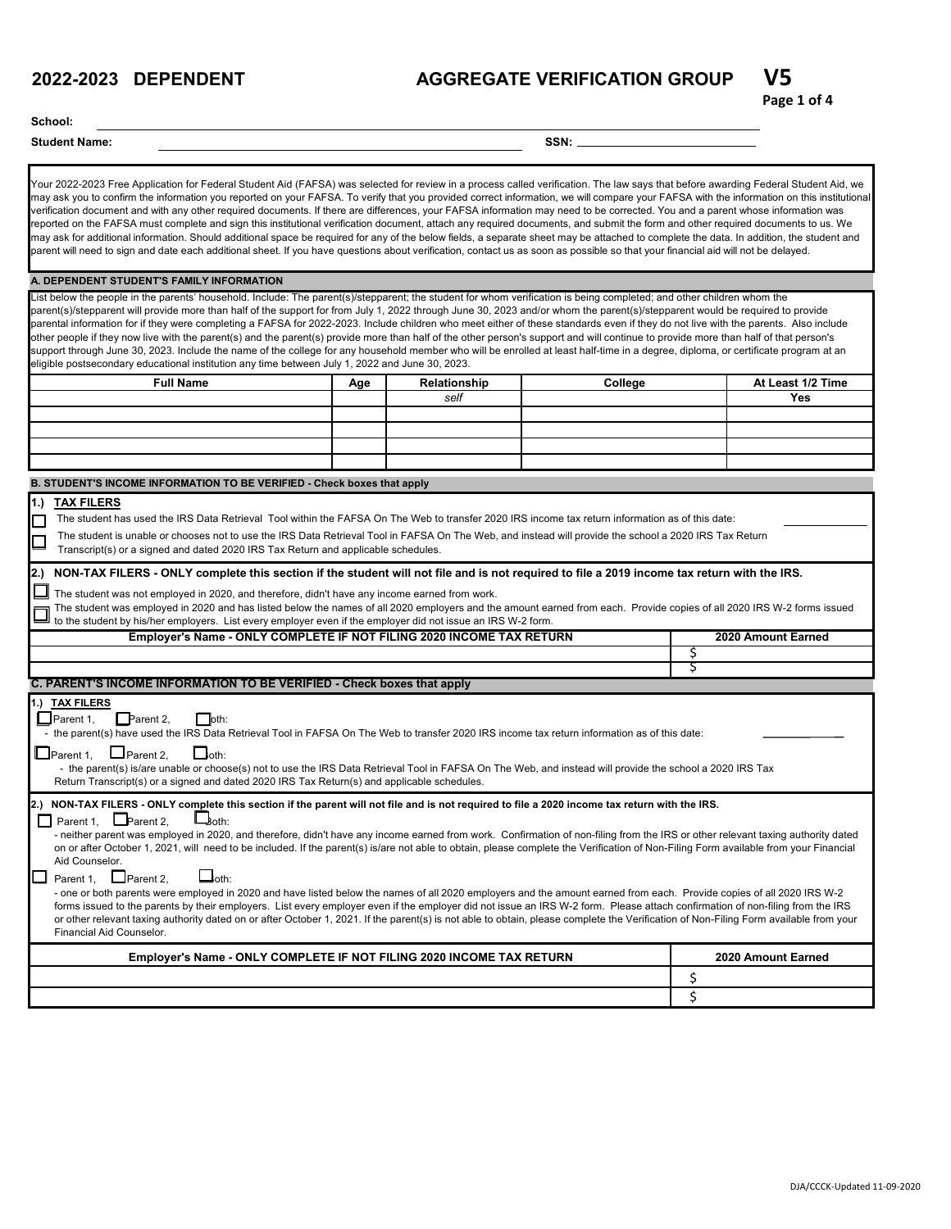## **AGGREGATE VERIFICATION GROUP V5**

#### **School:**

#### **Student Name: SSN:**

Your 2022-2023 Free Application for Federal Student Aid (FAFSA) was selected for review in a process called verification. The law says that before awarding Federal Student Aid, we may ask you to confirm the information you reported on your FAFSA. To verify that you provided correct information, we will compare your FAFSA with the information on this institutional verification document and with any other required documents. If there are differences, your FAFSA information may need to be corrected. You and a parent whose information was reported on the FAFSA must complete and sign this institutional verification document, attach any required documents, and submit the form and other required documents to us. We may ask for additional information. Should additional space be required for any of the below fields, a separate sheet may be attached to complete the data. In addition, the student and parent will need to sign and date each additional sheet. If you have questions about verification, contact us as soon as possible so that your financial aid will not be delayed.

#### **A. DEPENDENT STUDENT'S FAMILY INFORMATION**

List below the people in the parents' household. Include: The parent(s)/stepparent; the student for whom verification is being completed; and other children whom the parent(s)/stepparent will provide more than half of the support for from July 1, 2022 through June 30, 2023 and/or whom the parent(s)/stepparent would be required to provide parental information for if they were completing a FAFSA for 2022-2023. Include children who meet either of these standards even if they do not live with the parents. Also include other people if they now live with the parent(s) and the parent(s) provide more than half of the other person's support and will continue to provide more than half of that person's support through June 30, 2023. Include the name of the college for any household member who will be enrolled at least half-time in a degree, diploma, or certificate program at an eligible postsecondary educational institution any time between July 1, 2022 and June 30, 2023.

| <b>Full Name</b> | Age | Relationship | College | At Least 1/2 Time |
|------------------|-----|--------------|---------|-------------------|
|                  |     | self         |         | Yes               |
|                  |     |              |         |                   |
|                  |     |              |         |                   |
|                  |     |              |         |                   |
|                  |     |              |         |                   |

#### **B. STUDENT'S INCOME INFORMATION TO BE VERIFIED - Check boxes that apply**

#### **1.) TAX FILERS**

П The student has used the IRS Data Retrieval Tool within the FAFSA On The Web to transfer 2020 IRS income tax return information as of this date:

 The student is unable or chooses not to use the IRS Data Retrieval Tool in FAFSA On The Web, and instead will provide the school a 2020 IRS Tax Return Transcript(s) or a signed and dated 2020 IRS Tax Return and applicable schedules.

#### **2.) NON-TAX FILERS - ONLY complete this section if the student will not file and is not required to file a 2019 income tax return with the IRS.**

□ The student was not employed in 2020, and therefore, didn't have any income earned from work.

The student was employed in 2020 and has listed below the names of all 2020 employers and the amount earned from each. Provide copies of all 2020 IRS W-2 forms issued to the student by his/her employers. List every employer even if the employer did not issue an IRS W-2 form.

| Employer's Name - ONLY COMPLETE IF NOT FILING 2020 INCOME TAX RETURN                                                                                                                                                                                                                                                                                                                                                                                                                                                                                                                                                                                                                                                                                                                                                                                                                                                                                                                                                                                                                                                                                                                                                                    | 2020 Amount Earned |  |  |
|-----------------------------------------------------------------------------------------------------------------------------------------------------------------------------------------------------------------------------------------------------------------------------------------------------------------------------------------------------------------------------------------------------------------------------------------------------------------------------------------------------------------------------------------------------------------------------------------------------------------------------------------------------------------------------------------------------------------------------------------------------------------------------------------------------------------------------------------------------------------------------------------------------------------------------------------------------------------------------------------------------------------------------------------------------------------------------------------------------------------------------------------------------------------------------------------------------------------------------------------|--------------------|--|--|
|                                                                                                                                                                                                                                                                                                                                                                                                                                                                                                                                                                                                                                                                                                                                                                                                                                                                                                                                                                                                                                                                                                                                                                                                                                         |                    |  |  |
|                                                                                                                                                                                                                                                                                                                                                                                                                                                                                                                                                                                                                                                                                                                                                                                                                                                                                                                                                                                                                                                                                                                                                                                                                                         |                    |  |  |
| C. PARENT'S INCOME INFORMATION TO BE VERIFIED - Check boxes that apply                                                                                                                                                                                                                                                                                                                                                                                                                                                                                                                                                                                                                                                                                                                                                                                                                                                                                                                                                                                                                                                                                                                                                                  |                    |  |  |
| 1.) TAX FILERS<br>$\Box$ oth:<br>$\Box$ Parent 1,<br>$\Box$ Parent 2,<br>- the parent(s) have used the IRS Data Retrieval Tool in FAFSA On The Web to transfer 2020 IRS income tax return information as of this date:<br>$\Box$ oth:<br>$\Box$ Parent 2,<br>$\Box$ Parent 1,<br>- the parent(s) is/are unable or choose(s) not to use the IRS Data Retrieval Tool in FAFSA On The Web, and instead will provide the school a 2020 IRS Tax<br>Return Transcript(s) or a signed and dated 2020 IRS Tax Return(s) and applicable schedules.                                                                                                                                                                                                                                                                                                                                                                                                                                                                                                                                                                                                                                                                                               |                    |  |  |
| 2.) NON-TAX FILERS - ONLY complete this section if the parent will not file and is not required to file a 2020 income tax return with the IRS.<br>Parent 1, $\Box$ Parent 2,<br>$L_{\text{both}}$<br>П<br>- neither parent was employed in 2020, and therefore, didn't have any income earned from work. Confirmation of non-filing from the IRS or other relevant taxing authority dated<br>on or after October 1, 2021, will need to be included. If the parent(s) is/are not able to obtain, please complete the Verification of Non-Filing Form available from your Financial<br>Aid Counselor.<br>$\Box$ oth:<br>IL I<br>Parent 1, $\Box$ Parent 2,<br>- one or both parents were employed in 2020 and have listed below the names of all 2020 employers and the amount earned from each. Provide copies of all 2020 IRS W-2<br>forms issued to the parents by their employers. List every employer even if the employer did not issue an IRS W-2 form. Please attach confirmation of non-filing from the IRS<br>or other relevant taxing authority dated on or after October 1, 2021. If the parent(s) is not able to obtain, please complete the Verification of Non-Filing Form available from your<br>Financial Aid Counselor. |                    |  |  |
| Employer's Name - ONLY COMPLETE IF NOT FILING 2020 INCOME TAX RETURN                                                                                                                                                                                                                                                                                                                                                                                                                                                                                                                                                                                                                                                                                                                                                                                                                                                                                                                                                                                                                                                                                                                                                                    | 2020 Amount Earned |  |  |
|                                                                                                                                                                                                                                                                                                                                                                                                                                                                                                                                                                                                                                                                                                                                                                                                                                                                                                                                                                                                                                                                                                                                                                                                                                         | Ś                  |  |  |
|                                                                                                                                                                                                                                                                                                                                                                                                                                                                                                                                                                                                                                                                                                                                                                                                                                                                                                                                                                                                                                                                                                                                                                                                                                         |                    |  |  |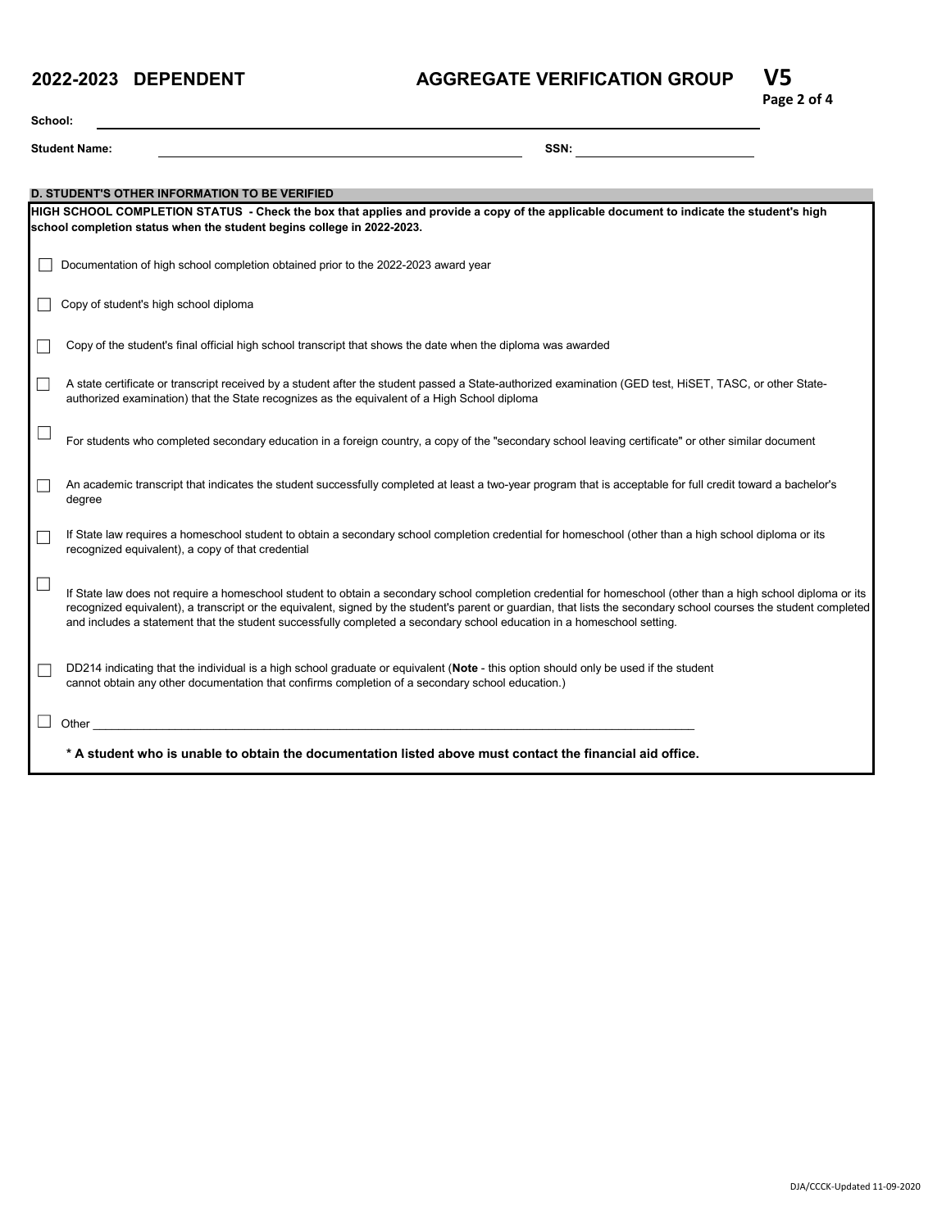# **AGGREGATE VERIFICATION GROUP V5**



| School:                                                                                                   |                                                                                                                                                                                                                                                                                                                                                                                                                                                              |  |  |  |  |  |  |
|-----------------------------------------------------------------------------------------------------------|--------------------------------------------------------------------------------------------------------------------------------------------------------------------------------------------------------------------------------------------------------------------------------------------------------------------------------------------------------------------------------------------------------------------------------------------------------------|--|--|--|--|--|--|
|                                                                                                           | SSN:<br><b>Student Name:</b>                                                                                                                                                                                                                                                                                                                                                                                                                                 |  |  |  |  |  |  |
|                                                                                                           |                                                                                                                                                                                                                                                                                                                                                                                                                                                              |  |  |  |  |  |  |
|                                                                                                           | <b>D. STUDENT'S OTHER INFORMATION TO BE VERIFIED</b>                                                                                                                                                                                                                                                                                                                                                                                                         |  |  |  |  |  |  |
|                                                                                                           | HIGH SCHOOL COMPLETION STATUS - Check the box that applies and provide a copy of the applicable document to indicate the student's high<br>school completion status when the student begins college in 2022-2023.                                                                                                                                                                                                                                            |  |  |  |  |  |  |
|                                                                                                           | Documentation of high school completion obtained prior to the 2022-2023 award year                                                                                                                                                                                                                                                                                                                                                                           |  |  |  |  |  |  |
|                                                                                                           | Copy of student's high school diploma                                                                                                                                                                                                                                                                                                                                                                                                                        |  |  |  |  |  |  |
|                                                                                                           | Copy of the student's final official high school transcript that shows the date when the diploma was awarded                                                                                                                                                                                                                                                                                                                                                 |  |  |  |  |  |  |
|                                                                                                           | A state certificate or transcript received by a student after the student passed a State-authorized examination (GED test, HiSET, TASC, or other State-<br>authorized examination) that the State recognizes as the equivalent of a High School diploma                                                                                                                                                                                                      |  |  |  |  |  |  |
|                                                                                                           | For students who completed secondary education in a foreign country, a copy of the "secondary school leaving certificate" or other similar document                                                                                                                                                                                                                                                                                                          |  |  |  |  |  |  |
|                                                                                                           | An academic transcript that indicates the student successfully completed at least a two-year program that is acceptable for full credit toward a bachelor's<br>degree                                                                                                                                                                                                                                                                                        |  |  |  |  |  |  |
|                                                                                                           | If State law requires a homeschool student to obtain a secondary school completion credential for homeschool (other than a high school diploma or its<br>recognized equivalent), a copy of that credential                                                                                                                                                                                                                                                   |  |  |  |  |  |  |
|                                                                                                           | If State law does not require a homeschool student to obtain a secondary school completion credential for homeschool (other than a high school diploma or its<br>recognized equivalent), a transcript or the equivalent, signed by the student's parent or guardian, that lists the secondary school courses the student completed<br>and includes a statement that the student successfully completed a secondary school education in a homeschool setting. |  |  |  |  |  |  |
|                                                                                                           | DD214 indicating that the individual is a high school graduate or equivalent (Note - this option should only be used if the student<br>cannot obtain any other documentation that confirms completion of a secondary school education.)                                                                                                                                                                                                                      |  |  |  |  |  |  |
| Other                                                                                                     |                                                                                                                                                                                                                                                                                                                                                                                                                                                              |  |  |  |  |  |  |
| * A student who is unable to obtain the documentation listed above must contact the financial aid office. |                                                                                                                                                                                                                                                                                                                                                                                                                                                              |  |  |  |  |  |  |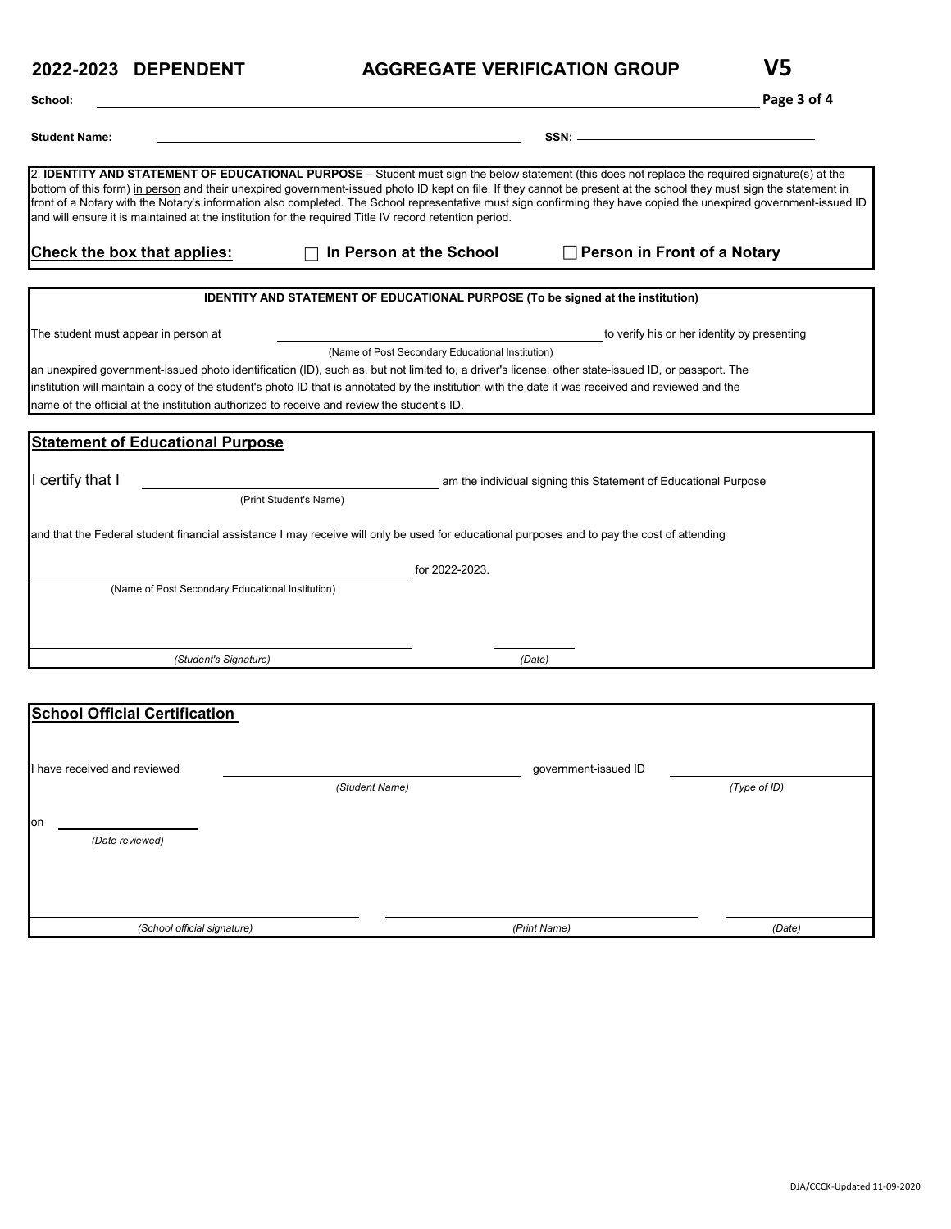# **AGGREGATE VERIFICATION GROUP V5**

| ۰.<br>۰.<br>., |
|----------------|
|                |

| School:                                                                                                                                                                                                                                                                                                                                                                                                                                                                                                                                                                                                                                       |                                                                                        |                                                                 | Page 3 of 4                                 |
|-----------------------------------------------------------------------------------------------------------------------------------------------------------------------------------------------------------------------------------------------------------------------------------------------------------------------------------------------------------------------------------------------------------------------------------------------------------------------------------------------------------------------------------------------------------------------------------------------------------------------------------------------|----------------------------------------------------------------------------------------|-----------------------------------------------------------------|---------------------------------------------|
| <b>Student Name:</b>                                                                                                                                                                                                                                                                                                                                                                                                                                                                                                                                                                                                                          |                                                                                        | $SSN:$ $-$                                                      |                                             |
| 2. IDENTITY AND STATEMENT OF EDUCATIONAL PURPOSE - Student must sign the below statement (this does not replace the required signature(s) at the<br>bottom of this form) in person and their unexpired government-issued photo ID kept on file. If they cannot be present at the school they must sign the statement in<br>front of a Notary with the Notary's information also completed. The School representative must sign confirming they have copied the unexpired government-issued ID<br>and will ensure it is maintained at the institution for the required Title IV record retention period.<br><b>Check the box that applies:</b> | In Person at the School                                                                | Person in Front of a Notary                                     |                                             |
|                                                                                                                                                                                                                                                                                                                                                                                                                                                                                                                                                                                                                                               | <b>IDENTITY AND STATEMENT OF EDUCATIONAL PURPOSE (To be signed at the institution)</b> |                                                                 |                                             |
| The student must appear in person at                                                                                                                                                                                                                                                                                                                                                                                                                                                                                                                                                                                                          |                                                                                        |                                                                 | to verify his or her identity by presenting |
| an unexpired government-issued photo identification (ID), such as, but not limited to, a driver's license, other state-issued ID, or passport. The<br>institution will maintain a copy of the student's photo ID that is annotated by the institution with the date it was received and reviewed and the<br>name of the official at the institution authorized to receive and review the student's ID.                                                                                                                                                                                                                                        | (Name of Post Secondary Educational Institution)                                       |                                                                 |                                             |
| <b>Statement of Educational Purpose</b>                                                                                                                                                                                                                                                                                                                                                                                                                                                                                                                                                                                                       |                                                                                        |                                                                 |                                             |
| I certify that I                                                                                                                                                                                                                                                                                                                                                                                                                                                                                                                                                                                                                              | (Print Student's Name)                                                                 | am the individual signing this Statement of Educational Purpose |                                             |
| and that the Federal student financial assistance I may receive will only be used for educational purposes and to pay the cost of attending                                                                                                                                                                                                                                                                                                                                                                                                                                                                                                   |                                                                                        |                                                                 |                                             |
| (Name of Post Secondary Educational Institution)                                                                                                                                                                                                                                                                                                                                                                                                                                                                                                                                                                                              | for 2022-2023.                                                                         |                                                                 |                                             |
|                                                                                                                                                                                                                                                                                                                                                                                                                                                                                                                                                                                                                                               |                                                                                        |                                                                 |                                             |
| (Student's Signature)                                                                                                                                                                                                                                                                                                                                                                                                                                                                                                                                                                                                                         |                                                                                        | (Date)                                                          |                                             |
|                                                                                                                                                                                                                                                                                                                                                                                                                                                                                                                                                                                                                                               |                                                                                        |                                                                 |                                             |
| <b>School Official Certification</b>                                                                                                                                                                                                                                                                                                                                                                                                                                                                                                                                                                                                          |                                                                                        |                                                                 |                                             |
| I have received and reviewed                                                                                                                                                                                                                                                                                                                                                                                                                                                                                                                                                                                                                  |                                                                                        | government-issued ID                                            |                                             |
|                                                                                                                                                                                                                                                                                                                                                                                                                                                                                                                                                                                                                                               | (Student Name)                                                                         |                                                                 | (Type of ID)                                |
| on<br>(Date reviewed)                                                                                                                                                                                                                                                                                                                                                                                                                                                                                                                                                                                                                         |                                                                                        |                                                                 |                                             |
|                                                                                                                                                                                                                                                                                                                                                                                                                                                                                                                                                                                                                                               |                                                                                        |                                                                 |                                             |
| (School official signature)                                                                                                                                                                                                                                                                                                                                                                                                                                                                                                                                                                                                                   |                                                                                        | (Print Name)                                                    | (Date)                                      |

*(School official signature) (Print Name)*

*(Date)*